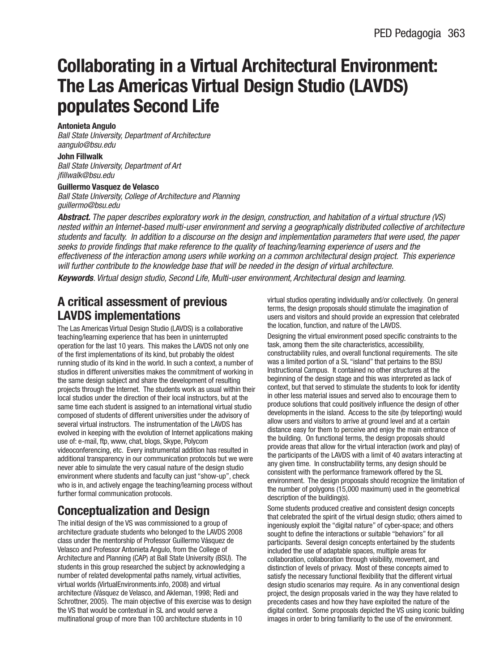## **Collaborating in a Virtual Architectural Environment: The Las Americas Virtual Design Studio (LAVDS) populates Second Life**

### **Antonieta Angulo**

Ball State University, Department of Architecture aangulo@bsu.edu

#### **John Fillwalk**

Ball State University, Department of Art jfillwalk@bsu.edu

### **Guillermo Vasquez de Velasco**

Ball State University, College of Architecture and Planning guillermo@bsu.edu

**Abstract.** The paper describes exploratory work in the design, construction, and habitation of a virtual structure (VS) nested within an Internet-based multi-user environment and serving a geographically distributed collective of architecture students and faculty. In addition to a discourse on the design and implementation parameters that were used, the paper seeks to provide findings that make reference to the quality of teaching/learning experience of users and the effectiveness of the interaction among users while working on a common architectural design project. This experience will further contribute to the knowledge base that will be needed in the design of virtual architecture.

**Keywords**. Virtual design studio, Second Life, Multi-user environment, Architectural design and learning.

## **A critical assessment of previous LAVDS implementations**

The Las Americas Virtual Design Studio (LAVDS) is a collaborative teaching/learning experience that has been in uninterrupted operation for the last 10 years. This makes the LAVDS not only one of the first implementations of its kind, but probably the oldest running studio of its kind in the world. In such a context, a number of studios in different universities makes the commitment of working in the same design subject and share the development of resulting projects through the Internet. The students work as usual within their local studios under the direction of their local instructors, but at the same time each student is assigned to an international virtual studio composed of students of different universities under the advisory of several virtual instructors. The instrumentation of the LAVDS has evolved in keeping with the evolution of Internet applications making use of: e-mail, ftp, www, chat, blogs, Skype, Polycom videoconferencing, etc. Every instrumental addition has resulted in additional transparency in our communication protocols but we were never able to simulate the very casual nature of the design studio environment where students and faculty can just "show-up", check who is in, and actively engage the teaching/learning process without further formal communication protocols.

## **Conceptualization and Design**

The initial design of the VS was commissioned to a group of architecture graduate students who belonged to the LAVDS 2008 class under the mentorship of Professor Guillermo Vásquez de Velasco and Professor Antonieta Angulo, from the College of Architecture and Planning (CAP) at Ball State University (BSU). The students in this group researched the subject by acknowledging a number of related developmental paths namely, virtual activities, virtual worlds (VirtualEnvironments.info, 2008) and virtual architecture (Vásquez de Velasco, and Akleman, 1998; Redi and Schrottner, 2005). The main objective of this exercise was to design the VS that would be contextual in SL and would serve a multinational group of more than 100 architecture students in 10

virtual studios operating individually and/or collectively. On general terms, the design proposals should stimulate the imagination of users and visitors and should provide an expression that celebrated the location, function, and nature of the LAVDS.

Designing the virtual environment posed specific constraints to the task, among them the site characteristics, accessibility, constructability rules, and overall functional requirements. The site was a limited portion of a SL "island" that pertains to the BSU Instructional Campus. It contained no other structures at the beginning of the design stage and this was interpreted as lack of context, but that served to stimulate the students to look for identity in other less material issues and served also to encourage them to produce solutions that could positively influence the design of other developments in the island. Access to the site (by teleporting) would allow users and visitors to arrive at ground level and at a certain distance easy for them to perceive and enjoy the main entrance of the building. On functional terms, the design proposals should provide areas that allow for the virtual interaction (work and play) of the participants of the LAVDS with a limit of 40 avatars interacting at any given time. In constructability terms, any design should be consistent with the performance framework offered by the SL environment. The design proposals should recognize the limitation of the number of polygons (15,000 maximum) used in the geometrical description of the building(s).

Some students produced creative and consistent design concepts that celebrated the spirit of the virtual design studio; others aimed to ingeniously exploit the "digital nature" of cyber-space; and others sought to define the interactions or suitable "behaviors" for all participants. Several design concepts entertained by the students included the use of adaptable spaces, multiple areas for collaboration, collaboration through visibility, movement, and distinction of levels of privacy. Most of these concepts aimed to satisfy the necessary functional flexibility that the different virtual design studio scenarios may require. As in any conventional design project, the design proposals varied in the way they have related to precedents cases and how they have exploited the nature of the digital context. Some proposals depicted the VS using iconic building images in order to bring familiarity to the use of the environment.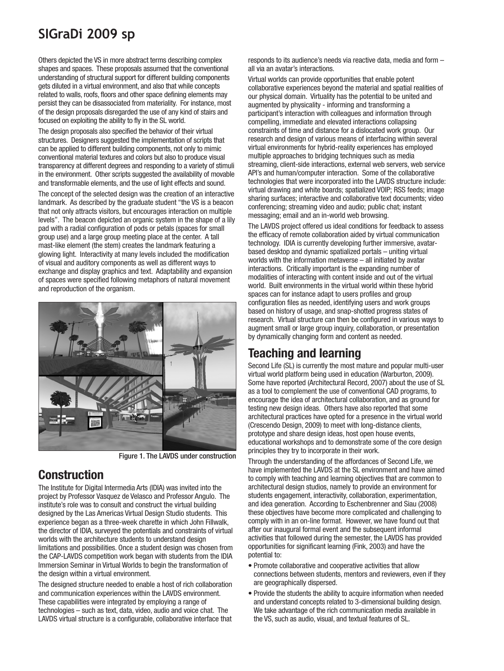# **SIGraDi 2009 sp**

Others depicted the VS in more abstract terms describing complex shapes and spaces. These proposals assumed that the conventional understanding of structural support for different building components gets diluted in a virtual environment, and also that while concepts related to walls, roofs, floors and other space defining elements may persist they can be disassociated from materiality. For instance, most of the design proposals disregarded the use of any kind of stairs and focused on exploiting the ability to fly in the SL world.

The design proposals also specified the behavior of their virtual structures. Designers suggested the implementation of scripts that can be applied to different building components, not only to mimic conventional material textures and colors but also to produce visual transparency at different degrees and responding to a variety of stimuli in the environment. Other scripts suggested the availability of movable and transformable elements, and the use of light effects and sound.

The concept of the selected design was the creation of an interactive landmark. As described by the graduate student "the VS is a beacon that not only attracts visitors, but encourages interaction on multiple levels". The beacon depicted an organic system in the shape of a lily pad with a radial configuration of pods or petals (spaces for small group use) and a large group meeting place at the center. A tall mast-like element (the stem) creates the landmark featuring a glowing light. Interactivity at many levels included the modification of visual and auditory components as well as different ways to exchange and display graphics and text. Adaptability and expansion of spaces were specified following metaphors of natural movement and reproduction of the organism.



Figure 1. The LAVDS under construction

## **Construction**

The Institute for Digital Intermedia Arts (IDIA) was invited into the project by Professor Vasquez de Velasco and Professor Angulo. The institute's role was to consult and construct the virtual building designed by the Las Americas Virtual Design Studio students. This experience began as a three-week charette in which John Fillwalk, the director of IDIA, surveyed the potentials and constraints of virtual worlds with the architecture students to understand design limitations and possibilities. Once a student design was chosen from the CAP-LAVDS competition work began with students from the IDIA Immersion Seminar in Virtual Worlds to begin the transformation of the design within a virtual environment.

The designed structure needed to enable a host of rich collaboration and communication experiences within the LAVDS environment. These capabilities were integrated by employing a range of technologies – such as text, data, video, audio and voice chat. The LAVDS virtual structure is a configurable, collaborative interface that

responds to its audience's needs via reactive data, media and form – all via an avatar's interactions.

Virtual worlds can provide opportunities that enable potent collaborative experiences beyond the material and spatial realities of our physical domain. Virtuality has the potential to be united and augmented by physicality - informing and transforming a participant's interaction with colleagues and information through compelling, immediate and elevated interactions collapsing constraints of time and distance for a dislocated work group. Our research and design of various means of interfacing within several virtual environments for hybrid-reality experiences has employed multiple approaches to bridging techniques such as media streaming, client-side interactions, external web servers, web service API's and human/computer interaction. Some of the collaborative technologies that were incorporated into the LAVDS structure include: virtual drawing and white boards; spatialized VOIP; RSS feeds; image sharing surfaces; interactive and collaborative text documents; video conferencing; streaming video and audio; public chat; instant messaging; email and an in-world web browsing.

The LAVDS project offered us ideal conditions for feedback to assess the efficacy of remote collaboration aided by virtual communication technology. IDIA is currently developing further immersive, avatarbased desktop and dynamic spatialized portals – uniting virtual worlds with the information metaverse – all initiated by avatar interactions. Critically important is the expanding number of modalities of interacting with content inside and out of the virtual world. Built environments in the virtual world within these hybrid spaces can for instance adapt to users profiles and group configuration files as needed, identifying users and work groups based on history of usage, and snap-shotted progress states of research. Virtual structure can then be configured in various ways to augment small or large group inquiry, collaboration, or presentation by dynamically changing form and content as needed.

## **Teaching and learning**

Second Life (SL) is currently the most mature and popular multi-user virtual world platform being used in education (Warburton, 2009). Some have reported (Architectural Record, 2007) about the use of SL as a tool to complement the use of conventional CAD programs, to encourage the idea of architectural collaboration, and as ground for testing new design ideas. Others have also reported that some architectural practices have opted for a presence in the virtual world (Crescendo Design, 2009) to meet with long-distance clients, prototype and share design ideas, host open house events, educational workshops and to demonstrate some of the core design principles they try to incorporate in their work.

Through the understanding of the affordances of Second Life, we have implemented the LAVDS at the SL environment and have aimed to comply with teaching and learning objectives that are common to architectural design studios, namely to provide an environment for students engagement, interactivity, collaboration, experimentation, and idea generation. According to Eschenbrenner and Siau (2008) these objectives have become more complicated and challenging to comply with in an on-line format. However, we have found out that after our inaugural formal event and the subsequent informal activities that followed during the semester, the LAVDS has provided opportunities for significant learning (Fink, 2003) and have the potential to:

- Promote collaborative and cooperative activities that allow connections between students, mentors and reviewers, even if they are geographically dispersed.
- Provide the students the ability to acquire information when needed and understand concepts related to 3-dimensional building design. We take advantage of the rich communication media available in the VS, such as audio, visual, and textual features of SL.